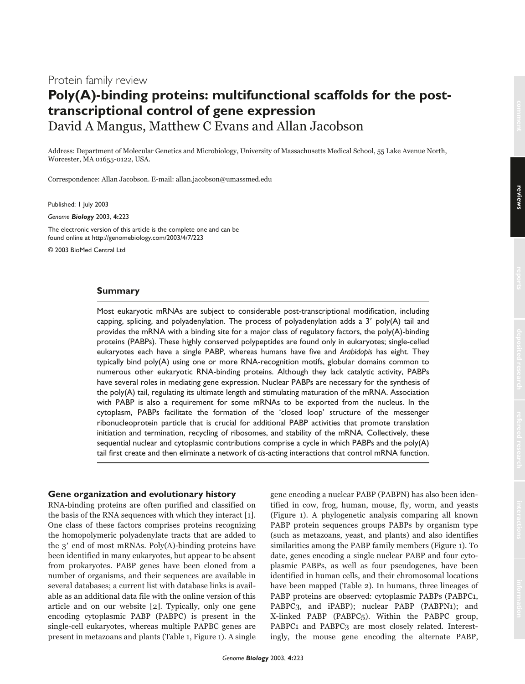# **Poly(A)-binding proteins: multifunctional scaffolds for the posttranscriptional control of gene expression** David A Mangus, Matthew C Evans and Allan Jacobson

Address: Department of Molecular Genetics and Microbiology, University of Massachusetts Medical School, 55 Lake Avenue North, Worcester, MA 01655-0122, USA.

Correspondence: Allan Jacobson. E-mail: allan.jacobson@umassmed.edu

Published: 1 July 2003

*Genome Biology* 2003, **4:**223

Protein family review

The electronic version of this article is the complete one and can be found online at http://genomebiology.com/2003/4/7/223

© 2003 BioMed Central Ltd

## **Summary**

Most eukaryotic mRNAs are subject to considerable post-transcriptional modification, including capping, splicing, and polyadenylation. The process of polyadenylation adds a 3' poly(A) tail and provides the mRNA with a binding site for a major class of regulatory factors, the poly(A)-binding proteins (PABPs). These highly conserved polypeptides are found only in eukaryotes; single-celled eukaryotes each have a single PABP, whereas humans have five and *Arabidopis* has eight. They typically bind poly(A) using one or more RNA-recognition motifs, globular domains common to numerous other eukaryotic RNA-binding proteins. Although they lack catalytic activity, PABPs have several roles in mediating gene expression. Nuclear PABPs are necessary for the synthesis of the poly(A) tail, regulating its ultimate length and stimulating maturation of the mRNA. Association with PABP is also a requirement for some mRNAs to be exported from the nucleus. In the cytoplasm, PABPs facilitate the formation of the 'closed loop' structure of the messenger ribonucleoprotein particle that is crucial for additional PABP activities that promote translation initiation and termination, recycling of ribosomes, and stability of the mRNA. Collectively, these sequential nuclear and cytoplasmic contributions comprise a cycle in which PABPs and the poly(A) tail first create and then eliminate a network of *cis*-acting interactions that control mRNA function.

# **Gene organization and evolutionary history**

RNA-binding proteins are often purified and classified on the basis of the RNA sequences with which they interact [1]. One class of these factors comprises proteins recognizing the homopolymeric polyadenylate tracts that are added to the  $3'$  end of most mRNAs. Poly(A)-binding proteins have been identified in many eukaryotes, but appear to be absent from prokaryotes. PABP genes have been cloned from a number of organisms, and their sequences are available in several databases; a current list with database links is available as an additional data file with the online version of this article and on our website [2]. Typically, only one gene encoding cytoplasmic PABP (PABPC) is present in the single-cell eukaryotes, whereas multiple PAPBC genes are present in metazoans and plants (Table 1, Figure 1). A single

gene encoding a nuclear PABP (PABPN) has also been identified in cow, frog, human, mouse, fly, worm, and yeasts (Figure 1). A phylogenetic analysis comparing all known PABP protein sequences groups PABPs by organism type (such as metazoans, yeast, and plants) and also identifies similarities among the PABP family members (Figure 1). To date, genes encoding a single nuclear PABP and four cytoplasmic PABPs, as well as four pseudogenes, have been identified in human cells, and their chromosomal locations have been mapped (Table 2). In humans, three lineages of PABP proteins are observed: cytoplasmic PABPs (PABPC1, PABPC3, and iPABP); nuclear PABP (PABPN1); and X-linked PABP (PABPC5). Within the PABPC group, PABPC1 and PABPC3 are most closely related. Interestingly, the mouse gene encoding the alternate PABP,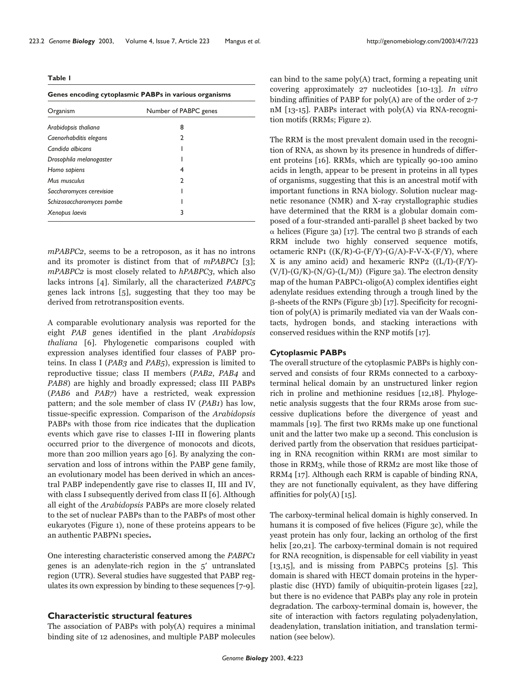| ٠<br>٠<br>× |
|-------------|
|-------------|

| Genes encoding cytoplasmic PABPs in various organisms |                       |  |  |
|-------------------------------------------------------|-----------------------|--|--|
| Organism                                              | Number of PABPC genes |  |  |
| Arabidopsis thaliana                                  | 8                     |  |  |
| Caenorhabditis elegans                                | 2                     |  |  |
| Candida albicans                                      |                       |  |  |
| Drosophila melanogaster                               |                       |  |  |
| Homo sapiens                                          | 4                     |  |  |
| Mus musculus                                          | 2                     |  |  |
| Saccharomyces cerevisiae                              |                       |  |  |
| Schizosaccharomyces pombe                             |                       |  |  |
| Xenopus laevis                                        | 3                     |  |  |

mPABPC2, seems to be a retroposon, as it has no introns and its promoter is distinct from that of  $mPABPC1$  [3]; mPABPC2 is most closely related to hPABPC3, which also lacks introns [4]. Similarly, all the characterized *PABPC*<sub>5</sub> genes lack introns [5], suggesting that they too may be derived from retrotransposition events.

A comparable evolutionary analysis was reported for the eight PAB genes identified in the plant Arabidopsis thaliana [6]. Phylogenetic comparisons coupled with expression analyses identified four classes of PABP proteins. In class I (PAB3 and PAB5), expression is limited to reproductive tissue; class II members (PAB2, PAB4 and PAB8) are highly and broadly expressed; class III PABPs (PAB6 and PAB7) have a restricted, weak expression pattern; and the sole member of class IV (PAB1) has low, tissue-specific expression. Comparison of the Arabidopsis PABPs with those from rice indicates that the duplication events which gave rise to classes I-III in flowering plants occurred prior to the divergence of monocots and dicots, more than 200 million years ago [6]. By analyzing the conservation and loss of introns within the PABP gene family, an evolutionary model has been derived in which an ancestral PABP independently gave rise to classes II, III and IV, with class I subsequently derived from class II [6]. Although all eight of the Arabidopsis PABPs are more closely related to the set of nuclear PABPs than to the PABPs of most other eukaryotes (Figure 1), none of these proteins appears to be an authentic PABPN1 species*.*

One interesting characteristic conserved among the PABPC1 genes is an adenylate-rich region in the 5' untranslated region (UTR). Several studies have suggested that PABP regulates its own expression by binding to these sequences [7-9].

# **Characteristic structural features**

The association of PABPs with poly(A) requires a minimal binding site of 12 adenosines, and multiple PABP molecules can bind to the same poly(A) tract, forming a repeating unit covering approximately 27 nucleotides [10-13]. In vitro binding affinities of PABP for poly(A) are of the order of 2-7 nM [13-15]. PABPs interact with poly(A) via RNA-recognition motifs (RRMs; Figure 2).

The RRM is the most prevalent domain used in the recognition of RNA, as shown by its presence in hundreds of different proteins [16]. RRMs, which are typically 90-100 amino acids in length, appear to be present in proteins in all types of organisms, suggesting that this is an ancestral motif with important functions in RNA biology. Solution nuclear magnetic resonance (NMR) and X-ray crystallographic studies have determined that the RRM is a globular domain composed of a four-stranded anti-parallel  $\beta$  sheet backed by two α helices (Figure 3a) [17]. The central two β strands of each RRM include two highly conserved sequence motifs, octameric RNP1 ( $(K/R)$ -G- $(F/Y)$ - $(G/A)$ -F-V-X- $(F/Y)$ , where X is any amino acid) and hexameric RNP2  $((L/I)-(F/Y) (V/I)-(G/K)-(N/G)-(L/M))$  (Figure 3a). The electron density map of the human PABPC1-oligo(A) complex identifies eight adenylate residues extending through a trough lined by the  $\beta$ -sheets of the RNPs (Figure 3b) [17]. Specificity for recognition of poly(A) is primarily mediated via van der Waals contacts, hydrogen bonds, and stacking interactions with conserved residues within the RNP motifs [17].

## **Cytoplasmic PABPs**

The overall structure of the cytoplasmic PABPs is highly conserved and consists of four RRMs connected to a carboxyterminal helical domain by an unstructured linker region rich in proline and methionine residues [12,18]. Phylogenetic analysis suggests that the four RRMs arose from successive duplications before the divergence of yeast and mammals [19]. The first two RRMs make up one functional unit and the latter two make up a second. This conclusion is derived partly from the observation that residues participating in RNA recognition within RRM1 are most similar to those in RRM3, while those of RRM2 are most like those of RRM4 [17]. Although each RRM is capable of binding RNA, they are not functionally equivalent, as they have differing affinities for poly(A) [15].

The carboxy-terminal helical domain is highly conserved. In humans it is composed of five helices (Figure 3c), while the yeast protein has only four, lacking an ortholog of the first helix [20,21]. The carboxy-terminal domain is not required for RNA recognition, is dispensable for cell viability in yeast  $[13,15]$ , and is missing from PABPC $5$  proteins  $[5]$ . This domain is shared with HECT domain proteins in the hyperplastic disc (HYD) family of ubiquitin-protein ligases [22], but there is no evidence that PABPs play any role in protein degradation. The carboxy-terminal domain is, however, the site of interaction with factors regulating polyadenylation, deadenylation, translation initiation, and translation termination (see below).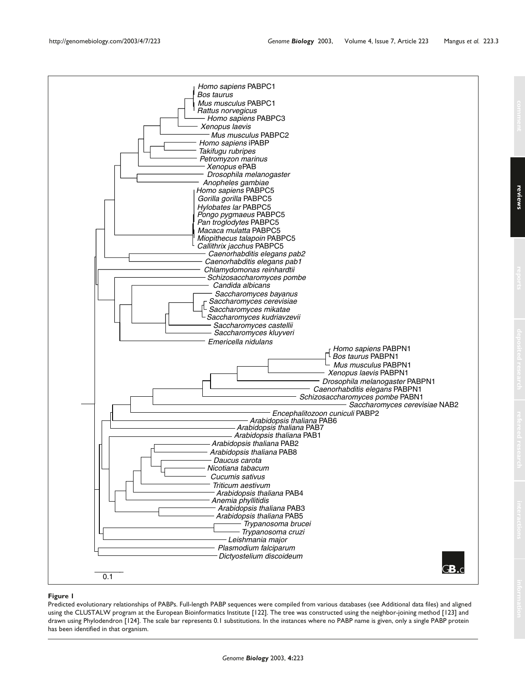

# **Figure 1**

Predicted evolutionary relationships of PABPs. Full-length PABP sequences were compiled from various databases (see Additional data files) and aligned using the CLUSTALW program at the European Bioinformatics Institute [122]. The tree was constructed using the neighbor-joining method [123] and drawn using Phylodendron [124]. The scale bar represents 0.1 substitutions. In the instances where no PABP name is given, only a single PABP protein has been identified in that organism.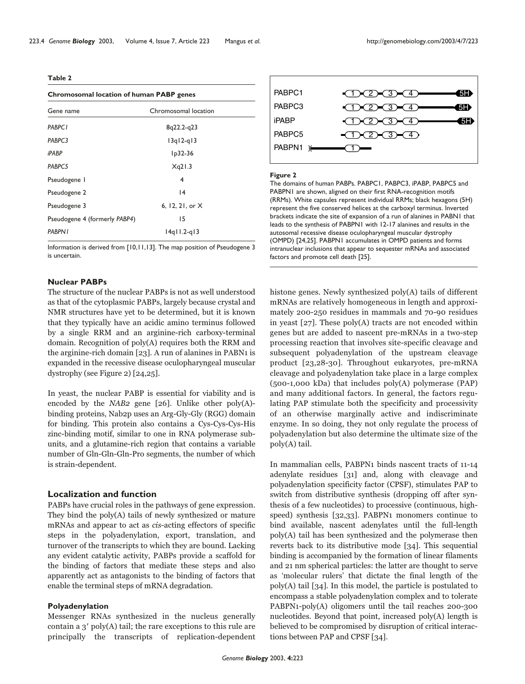### **Table 2**

| Chromosomal location of human PABP genes |                      |  |  |
|------------------------------------------|----------------------|--|--|
| Gene name                                | Chromosomal location |  |  |
| <b>PABPCI</b>                            | 8q22.2-q23           |  |  |
| PABPC3                                   | $13q12-q13$          |  |  |
| iPABP                                    | $lp32-36$            |  |  |
| PABPC5                                   | Xq21.3               |  |  |
| Pseudogene I                             | 4                    |  |  |
| Pseudogene 2                             | 14                   |  |  |
| Pseudogene 3                             | 6, 12, 21, or $X$    |  |  |
| Pseudogene 4 (formerly PABP4)            | 15                   |  |  |
| PABPN I                                  | $14q$ $11.2-q$ $13$  |  |  |

Information is derived from [10,11,13]. The map position of Pseudogene 3 is uncertain.

# **Nuclear PABPs**

The structure of the nuclear PABPs is not as well understood as that of the cytoplasmic PABPs, largely because crystal and NMR structures have yet to be determined, but it is known that they typically have an acidic amino terminus followed by a single RRM and an arginine-rich carboxy-terminal domain. Recognition of poly(A) requires both the RRM and the arginine-rich domain [23]. A run of alanines in PABN1 is expanded in the recessive disease oculopharyngeal muscular dystrophy (see Figure 2) [24,25].

In yeast, the nuclear PABP is essential for viability and is encoded by the NAB2 gene [26]. Unlike other poly(A) binding proteins, Nab2p uses an Arg-Gly-Gly (RGG) domain for binding. This protein also contains a Cys-Cys-Cys-His zinc-binding motif, similar to one in RNA polymerase subunits, and a glutamine-rich region that contains a variable number of Gln-Gln-Gln-Pro segments, the number of which is strain-dependent.

# **Localization and function**

PABPs have crucial roles in the pathways of gene expression. They bind the poly(A) tails of newly synthesized or mature mRNAs and appear to act as cis-acting effectors of specific steps in the polyadenylation, export, translation, and turnover of the transcripts to which they are bound. Lacking any evident catalytic activity, PABPs provide a scaffold for the binding of factors that mediate these steps and also apparently act as antagonists to the binding of factors that enable the terminal steps of mRNA degradation.

# **Polyadenylation**

Messenger RNAs synthesized in the nucleus generally contain a  $3'$  poly(A) tail; the rare exceptions to this rule are principally the transcripts of replication-dependent



### **Figure 2**

The domains of human PABPs. PABPC1, PABPC3, iPABP, PABPC5 and PABPN1 are shown, aligned on their first RNA-recognition motifs (RRMs). White capsules represent individual RRMs; black hexagons (5H) represent the five conserved helices at the carboxyl terminus. Inverted brackets indicate the site of expansion of a run of alanines in PABN1 that leads to the synthesis of PABPN1 with 12-17 alanines and results in the autosomal recessive disease oculopharyngeal muscular dystrophy (OMPD) [24,25]. PABPN1 accumulates in OMPD patients and forms intranuclear inclusions that appear to sequester mRNAs and associated factors and promote cell death [25].

histone genes. Newly synthesized poly(A) tails of different mRNAs are relatively homogeneous in length and approximately 200-250 residues in mammals and 70-90 residues in yeast [27]. These poly(A) tracts are not encoded within genes but are added to nascent pre-mRNAs in a two-step processing reaction that involves site-specific cleavage and subsequent polyadenylation of the upstream cleavage product [23,28-30]. Throughout eukaryotes, pre-mRNA cleavage and polyadenylation take place in a large complex (500-1,000 kDa) that includes poly(A) polymerase (PAP) and many additional factors. In general, the factors regulating PAP stimulate both the specificity and processivity of an otherwise marginally active and indiscriminate enzyme. In so doing, they not only regulate the process of polyadenylation but also determine the ultimate size of the poly(A) tail.

In mammalian cells, PABPN1 binds nascent tracts of 11-14 adenylate residues [31] and, along with cleavage and polyadenylation specificity factor (CPSF), stimulates PAP to switch from distributive synthesis (dropping off after synthesis of a few nucleotides) to processive (continuous, highspeed) synthesis [32,33]. PABPN1 monomers continue to bind available, nascent adenylates until the full-length poly(A) tail has been synthesized and the polymerase then reverts back to its distributive mode [34]. This sequential binding is accompanied by the formation of linear filaments and 21 nm spherical particles: the latter are thought to serve as 'molecular rulers' that dictate the final length of the poly(A) tail [34]. In this model, the particle is postulated to encompass a stable polyadenylation complex and to tolerate PABPN1-poly(A) oligomers until the tail reaches 200-300 nucleotides. Beyond that point, increased poly(A) length is believed to be compromised by disruption of critical interactions between PAP and CPSF [34].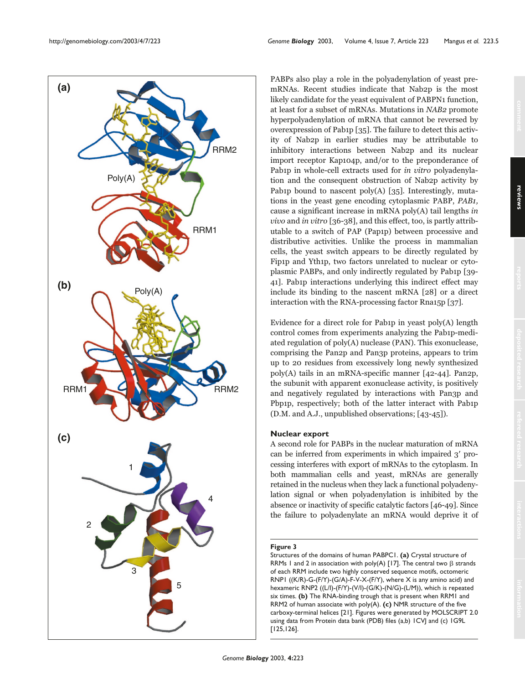

PABPs also play a role in the polyadenylation of yeast premRNAs. Recent studies indicate that Nab2p is the most likely candidate for the yeast equivalent of PABPN1 function, at least for a subset of mRNAs. Mutations in NAB2 promote hyperpolyadenylation of mRNA that cannot be reversed by overexpression of Pab1p [35]. The failure to detect this activity of Nab2p in earlier studies may be attributable to inhibitory interactions between Nab2p and its nuclear import receptor Kap104p, and/or to the preponderance of Pab<sub>1</sub> in whole-cell extracts used for *in vitro* polyadenylation and the consequent obstruction of Nab2p activity by Pab1p bound to nascent poly(A) [35]. Interestingly, mutations in the yeast gene encoding cytoplasmic PABP, PAB1, cause a significant increase in mRNA poly(A) tail lengths in vivo and in vitro [36-38], and this effect, too, is partly attributable to a switch of PAP (Pap1p) between processive and distributive activities. Unlike the process in mammalian cells, the yeast switch appears to be directly regulated by Fip1p and Yth1p, two factors unrelated to nuclear or cytoplasmic PABPs, and only indirectly regulated by Pab1p [39- 41]. Pab1p interactions underlying this indirect effect may include its binding to the nascent mRNA [28] or a direct interaction with the RNA-processing factor Rna15p [37].

Evidence for a direct role for Pab1p in yeast poly(A) length control comes from experiments analyzing the Pab1p-mediated regulation of poly(A) nuclease (PAN). This exonuclease, comprising the Pan2p and Pan3p proteins, appears to trim up to 20 residues from excessively long newly synthesized poly(A) tails in an mRNA-specific manner [42-44]. Pan2p, the subunit with apparent exonuclease activity, is positively and negatively regulated by interactions with Pan3p and Pbp1p, respectively; both of the latter interact with Pab1p (D.M. and A.J., unpublished observations; [43-45]).

# **Nuclear export**

A second role for PABPs in the nuclear maturation of mRNA can be inferred from experiments in which impaired 3' processing interferes with export of mRNAs to the cytoplasm. In both mammalian cells and yeast, mRNAs are generally retained in the nucleus when they lack a functional polyadenylation signal or when polyadenylation is inhibited by the absence or inactivity of specific catalytic factors [46-49]. Since the failure to polyadenylate an mRNA would deprive it of

# **Figure 3**

Structures of the domains of human PABPC1. **(a)** Crystal structure of RRMs 1 and 2 in association with poly(A) [17]. The central two  $\beta$  strands of each RRM include two highly conserved sequence motifs, octomeric RNP1 ((K/R)-G-(F/Y)-(G/A)-F-V-X-(F/Y), where X is any amino acid) and hexameric RNP2 ((L/I)-(F/Y)-(V/I)-(G/K)-(N/G)-(L/M)), which is repeated six times. **(b)** The RNA-binding trough that is present when RRM1 and RRM2 of human associate with poly(A). **(c)** NMR structure of the five carboxy-terminal helices [21]. Figures were generated by MOLSCRIPT 2.0 using data from Protein data bank (PDB) files (a,b) 1CVJ and (c) 1G9L [125,126].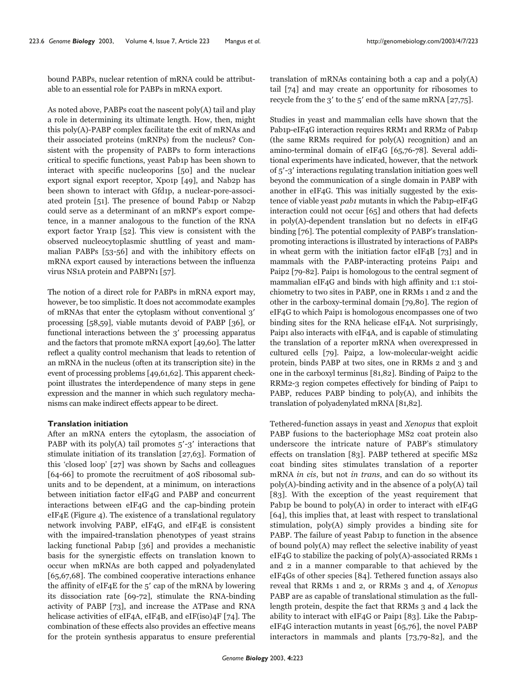bound PABPs, nuclear retention of mRNA could be attributable to an essential role for PABPs in mRNA export.

As noted above, PABPs coat the nascent poly(A) tail and play a role in determining its ultimate length. How, then, might this poly(A)-PABP complex facilitate the exit of mRNAs and their associated proteins (mRNPs) from the nucleus? Consistent with the propensity of PABPs to form interactions critical to specific functions, yeast Pab1p has been shown to interact with specific nucleoporins [50] and the nuclear export signal export receptor, Xpo1p [49], and Nab2p has been shown to interact with Gfd1p, a nuclear-pore-associated protein [51]. The presence of bound Pab1p or Nab2p could serve as a determinant of an mRNP's export competence, in a manner analogous to the function of the RNA export factor Yra1p [52]. This view is consistent with the observed nucleocytoplasmic shuttling of yeast and mammalian PABPs [53-56] and with the inhibitory effects on mRNA export caused by interactions between the influenza virus NS1A protein and PABPN1 [57].

The notion of a direct role for PABPs in mRNA export may, however, be too simplistic. It does not accommodate examples of mRNAs that enter the cytoplasm without conventional 3 processing [58,59], viable mutants devoid of PABP [36], or functional interactions between the  $3'$  processing apparatus and the factors that promote mRNA export [49,60]. The latter reflect a quality control mechanism that leads to retention of an mRNA in the nucleus (often at its transcription site) in the event of processing problems [49,61,62]. This apparent checkpoint illustrates the interdependence of many steps in gene expression and the manner in which such regulatory mechanisms can make indirect effects appear to be direct.

# **Translation initiation**

After an mRNA enters the cytoplasm, the association of PABP with its poly(A) tail promotes  $5'-3'$  interactions that stimulate initiation of its translation [27,63]. Formation of this 'closed loop' [27] was shown by Sachs and colleagues [64-66] to promote the recruitment of 40S ribosomal subunits and to be dependent, at a minimum, on interactions between initiation factor eIF4G and PABP and concurrent interactions between eIF4G and the cap-binding protein eIF4E (Figure 4). The existence of a translational regulatory network involving PABP, eIF4G, and eIF4E is consistent with the impaired-translation phenotypes of yeast strains lacking functional Pab1p [36] and provides a mechanistic basis for the synergistic effects on translation known to occur when mRNAs are both capped and polyadenylated [65,67,68]. The combined cooperative interactions enhance the affinity of eIF4E for the  $5'$  cap of the mRNA by lowering its dissociation rate [69-72], stimulate the RNA-binding activity of PABP [73], and increase the ATPase and RNA helicase activities of eIF4A, eIF4B, and eIF(iso)4F [74]. The combination of these effects also provides an effective means for the protein synthesis apparatus to ensure preferential

translation of mRNAs containing both a cap and a poly(A) tail [74] and may create an opportunity for ribosomes to recycle from the 3' to the  $5'$  end of the same mRNA [27,75].

Studies in yeast and mammalian cells have shown that the Pab1p-eIF4G interaction requires RRM1 and RRM2 of Pab1p (the same RRMs required for poly(A) recognition) and an amino-terminal domain of eIF4G [65,76-78]. Several additional experiments have indicated, however, that the network of 5-3 interactions regulating translation initiation goes well beyond the communication of a single domain in PABP with another in eIF4G. This was initially suggested by the existence of viable yeast pab1 mutants in which the Pab1p-eIF4G interaction could not occur [65] and others that had defects in poly(A)-dependent translation but no defects in eIF4G binding [76]. The potential complexity of PABP's translationpromoting interactions is illustrated by interactions of PABPs in wheat germ with the initiation factor eIF4B [73] and in mammals with the PABP-interacting proteins Paip1 and Paip2 [79-82]. Paip1 is homologous to the central segment of mammalian eIF4G and binds with high affinity and 1:1 stoichiometry to two sites in PABP, one in RRMs 1 and 2 and the other in the carboxy-terminal domain [79,80]. The region of eIF4G to which Paip1 is homologous encompasses one of two binding sites for the RNA helicase eIF4A. Not surprisingly, Paip1 also interacts with eIF4A, and is capable of stimulating the translation of a reporter mRNA when overexpressed in cultured cells [79]. Paip2, a low-molecular-weight acidic protein, binds PABP at two sites, one in RRMs 2 and 3 and one in the carboxyl terminus [81,82]. Binding of Paip2 to the RRM2-3 region competes effectively for binding of Paip1 to PABP, reduces PABP binding to poly(A), and inhibits the translation of polyadenylated mRNA [81,82].

Tethered-function assays in yeast and Xenopus that exploit PABP fusions to the bacteriophage MS2 coat protein also underscore the intricate nature of PABP's stimulatory effects on translation [83]. PABP tethered at specific MS2 coat binding sites stimulates translation of a reporter mRNA in cis, but not in trans, and can do so without its poly(A)-binding activity and in the absence of a poly(A) tail [83]. With the exception of the yeast requirement that Pab1p be bound to poly(A) in order to interact with eIF4G [64], this implies that, at least with respect to translational stimulation, poly(A) simply provides a binding site for PABP. The failure of yeast Pab1p to function in the absence of bound poly(A) may reflect the selective inability of yeast eIF4G to stabilize the packing of poly(A)-associated RRMs 1 and 2 in a manner comparable to that achieved by the eIF4Gs of other species [84]. Tethered function assays also reveal that RRMs 1 and 2, or RRMs 3 and 4, of Xenopus PABP are as capable of translational stimulation as the fulllength protein, despite the fact that RRMs 3 and 4 lack the ability to interact with eIF4G or Paip1 [83]. Like the Pab1peIF4G interaction mutants in yeast [65,76], the novel PABP interactors in mammals and plants [73,79-82], and the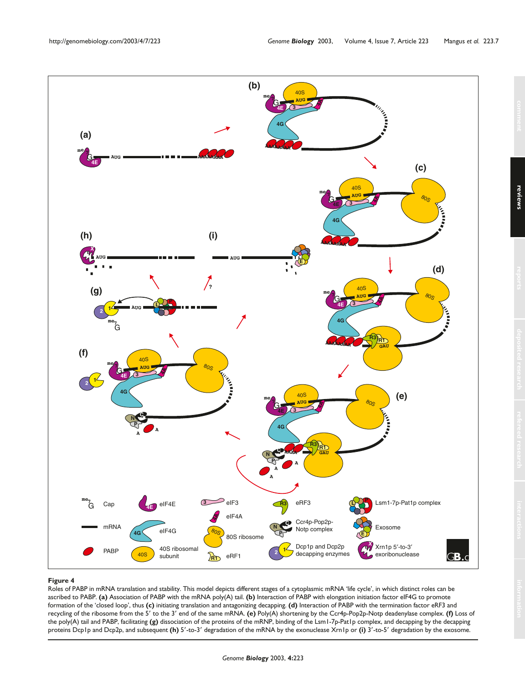

## **Figure 4**

Roles of PABP in mRNA translation and stability. This model depicts different stages of a cytoplasmic mRNA 'life cycle', in which distinct roles can be ascribed to PABP. **(a)** Association of PABP with the mRNA poly(A) tail. **(b)** Interaction of PABP with elongation initiation factor eIF4G to promote formation of the 'closed loop', thus **(c)** initiating translation and antagonizing decapping. **(d)** Interaction of PABP with the termination factor eRF3 and recycling of the ribosome from the 5' to the 3' end of the same mRNA. (e) Poly(A) shortening by the Ccr4p-Pop2p-Notp deadenylase complex. **(f)** Loss of the poly(A) tail and PABP, facilitating **(g)** dissociation of the proteins of the mRNP, binding of the Lsm1-7p-Pat1p complex, and decapping by the decapping proteins Dcp1p and Dcp2p, and subsequent **(h)** 5-to-3 degradation of the mRNA by the exonuclease Xrn1p or **(i)** 3-to-5 degradation by the exosome.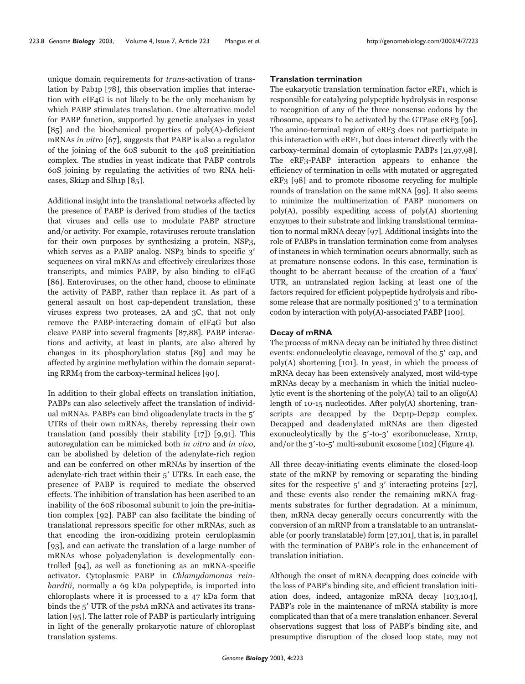unique domain requirements for trans-activation of translation by Pab1p [78], this observation implies that interaction with eIF4G is not likely to be the only mechanism by which PABP stimulates translation. One alternative model for PABP function, supported by genetic analyses in yeast [85] and the biochemical properties of poly(A)-deficient mRNAs in vitro [67], suggests that PABP is also a regulator of the joining of the 60S subunit to the 40S preinitiation complex. The studies in yeast indicate that PABP controls 60S joining by regulating the activities of two RNA helicases, Ski2p and Slh1p [85].

Additional insight into the translational networks affected by the presence of PABP is derived from studies of the tactics that viruses and cells use to modulate PABP structure and/or activity. For example, rotaviruses reroute translation for their own purposes by synthesizing a protein, NSP3, which serves as a PABP analog. NSP3 binds to specific 3' sequences on viral mRNAs and effectively circularizes those transcripts, and mimics PABP, by also binding to eIF4G [86]. Enteroviruses, on the other hand, choose to eliminate the activity of PABP, rather than replace it. As part of a general assault on host cap-dependent translation, these viruses express two proteases, 2A and 3C, that not only remove the PABP-interacting domain of eIF4G but also cleave PABP into several fragments [87,88]. PABP interactions and activity, at least in plants, are also altered by changes in its phosphorylation status [89] and may be affected by arginine methylation within the domain separating RRM4 from the carboxy-terminal helices [90].

In addition to their global effects on translation initiation, PABPs can also selectively affect the translation of individual mRNAs. PABPs can bind oligoadenylate tracts in the 5 UTRs of their own mRNAs, thereby repressing their own translation (and possibly their stability [17]) [9,91]. This autoregulation can be mimicked both in vitro and in vivo, can be abolished by deletion of the adenylate-rich region and can be conferred on other mRNAs by insertion of the adenylate-rich tract within their 5' UTRs. In each case, the presence of PABP is required to mediate the observed effects. The inhibition of translation has been ascribed to an inability of the 60S ribosomal subunit to join the pre-initiation complex [92]. PABP can also facilitate the binding of translational repressors specific for other mRNAs, such as that encoding the iron-oxidizing protein ceruloplasmin [93], and can activate the translation of a large number of mRNAs whose polyadenylation is developmentally controlled [94], as well as functioning as an mRNA-specific activator. Cytoplasmic PABP in Chlamydomonas reinhardtii, normally a 69 kDa polypeptide, is imported into chloroplasts where it is processed to a 47 kDa form that binds the 5' UTR of the *psbA* mRNA and activates its translation [95]. The latter role of PABP is particularly intriguing in light of the generally prokaryotic nature of chloroplast translation systems.

## **Translation termination**

The eukaryotic translation termination factor eRF1, which is responsible for catalyzing polypeptide hydrolysis in response to recognition of any of the three nonsense codons by the ribosome, appears to be activated by the GTPase eRF3 [96]. The amino-terminal region of eRF3 does not participate in this interaction with eRF1, but does interact directly with the carboxy-terminal domain of cytoplasmic PABPs [21,97,98]. The eRF3-PABP interaction appears to enhance the efficiency of termination in cells with mutated or aggregated eRF3 [98] and to promote ribosome recycling for multiple rounds of translation on the same mRNA [99]. It also seems to minimize the multimerization of PABP monomers on poly(A), possibly expediting access of poly(A) shortening enzymes to their substrate and linking translational termination to normal mRNA decay [97]. Additional insights into the role of PABPs in translation termination come from analyses of instances in which termination occurs abnormally, such as at premature nonsense codons. In this case, termination is thought to be aberrant because of the creation of a 'faux' UTR, an untranslated region lacking at least one of the factors required for efficient polypeptide hydrolysis and ribosome release that are normally positioned  $3'$  to a termination codon by interaction with poly(A)-associated PABP [100].

## **Decay of mRNA**

The process of mRNA decay can be initiated by three distinct events: endonucleolytic cleavage, removal of the 5' cap, and poly(A) shortening [101]. In yeast, in which the process of mRNA decay has been extensively analyzed, most wild-type mRNAs decay by a mechanism in which the initial nucleolytic event is the shortening of the poly(A) tail to an oligo(A) length of 10-15 nucleotides. After poly(A) shortening, transcripts are decapped by the Dcp1p-Dcp2p complex. Decapped and deadenylated mRNAs are then digested exonucleolytically by the 5'-to-3' exoribonuclease, Xrn1p, and/or the  $3'$ -to- $5'$  multi-subunit exosome [102] (Figure 4).

All three decay-initiating events eliminate the closed-loop state of the mRNP by removing or separating the binding sites for the respective  $5'$  and  $3'$  interacting proteins [27], and these events also render the remaining mRNA fragments substrates for further degradation. At a minimum, then, mRNA decay generally occurs concurrently with the conversion of an mRNP from a translatable to an untranslatable (or poorly translatable) form [27,101], that is, in parallel with the termination of PABP's role in the enhancement of translation initiation.

Although the onset of mRNA decapping does coincide with the loss of PABP's binding site, and efficient translation initiation does, indeed, antagonize mRNA decay [103,104], PABP's role in the maintenance of mRNA stability is more complicated than that of a mere translation enhancer. Several observations suggest that loss of PABP's binding site, and presumptive disruption of the closed loop state, may not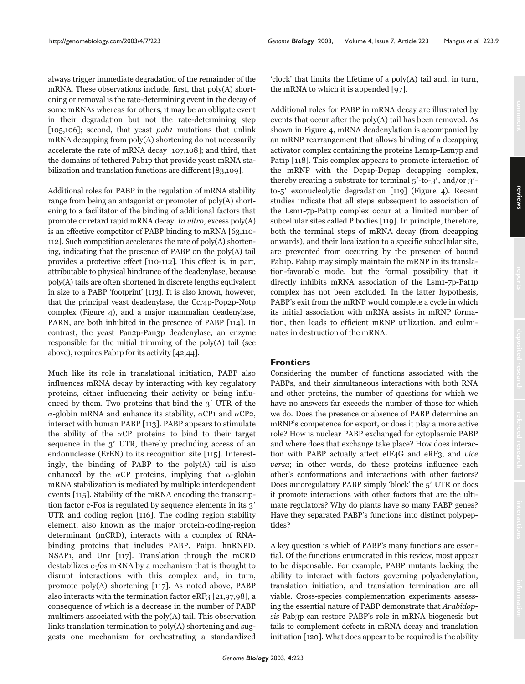always trigger immediate degradation of the remainder of the mRNA. These observations include, first, that poly(A) shortening or removal is the rate-determining event in the decay of some mRNAs whereas for others, it may be an obligate event in their degradation but not the rate-determining step [105,106]; second, that yeast *pab1* mutations that unlink mRNA decapping from poly(A) shortening do not necessarily accelerate the rate of mRNA decay [107,108]; and third, that the domains of tethered Pab1p that provide yeast mRNA stabilization and translation functions are different [83,109].

Additional roles for PABP in the regulation of mRNA stability range from being an antagonist or promoter of poly(A) shortening to a facilitator of the binding of additional factors that promote or retard rapid mRNA decay. In vitro, excess poly(A) is an effective competitor of PABP binding to mRNA [63,110- 112]. Such competition accelerates the rate of poly(A) shortening, indicating that the presence of PABP on the poly(A) tail provides a protective effect [110-112]. This effect is, in part, attributable to physical hindrance of the deadenylase, because poly(A) tails are often shortened in discrete lengths equivalent in size to a PABP 'footprint' [113]. It is also known, however, that the principal yeast deadenylase, the Ccr4p-Pop2p-Notp complex (Figure 4), and a major mammalian deadenylase, PARN, are both inhibited in the presence of PABP [114]. In contrast, the yeast Pan2p-Pan3p deadenylase, an enzyme responsible for the initial trimming of the poly(A) tail (see above), requires Pab1p for its activity [42,44].

Much like its role in translational initiation, PABP also influences mRNA decay by interacting with key regulatory proteins, either influencing their activity or being influenced by them. Two proteins that bind the 3' UTR of the  $\alpha$ -globin mRNA and enhance its stability,  $\alpha$ CP1 and  $\alpha$ CP2, interact with human PABP [113]. PABP appears to stimulate the ability of the  $\alpha$ CP proteins to bind to their target sequence in the  $3'$  UTR, thereby precluding access of an endonuclease (ErEN) to its recognition site [115]. Interestingly, the binding of PABP to the poly(A) tail is also enhanced by the  $\alpha$ CP proteins, implying that  $\alpha$ -globin mRNA stabilization is mediated by multiple interdependent events [115]. Stability of the mRNA encoding the transcription factor c-Fos is regulated by sequence elements in its 3 UTR and coding region [116]. The coding region stability element, also known as the major protein-coding-region determinant (mCRD), interacts with a complex of RNAbinding proteins that includes PABP, Paip1, hnRNPD, NSAP1, and Unr [117]. Translation through the mCRD destabilizes c-fos mRNA by a mechanism that is thought to disrupt interactions with this complex and, in turn, promote poly(A) shortening [117]. As noted above, PABP also interacts with the termination factor eRF3 [21,97,98], a consequence of which is a decrease in the number of PABP multimers associated with the poly(A) tail. This observation links translation termination to poly(A) shortening and suggests one mechanism for orchestrating a standardized 'clock' that limits the lifetime of a poly(A) tail and, in turn, the mRNA to which it is appended [97].

Additional roles for PABP in mRNA decay are illustrated by events that occur after the poly(A) tail has been removed. As shown in Figure 4, mRNA deadenylation is accompanied by an mRNP rearrangement that allows binding of a decapping activator complex containing the proteins Lsm1p-Lsm7p and Pat1p [118]. This complex appears to promote interaction of the mRNP with the Dcp1p-Dcp2p decapping complex, thereby creating a substrate for terminal  $5'-10-3'$ , and/or  $3'-1$ to-5 exonucleolytic degradation [119] (Figure 4). Recent studies indicate that all steps subsequent to association of the Lsm1-7p-Pat1p complex occur at a limited number of subcellular sites called P bodies [119]. In principle, therefore, both the terminal steps of mRNA decay (from decapping onwards), and their localization to a specific subcellular site, are prevented from occurring by the presence of bound Pab1p. Pab1p may simply maintain the mRNP in its translation-favorable mode, but the formal possibility that it directly inhibits mRNA association of the Lsm1-7p-Pat1p complex has not been excluded. In the latter hypothesis, PABP's exit from the mRNP would complete a cycle in which its initial association with mRNA assists in mRNP formation, then leads to efficient mRNP utilization, and culminates in destruction of the mRNA.

# **Frontiers**

Considering the number of functions associated with the PABPs, and their simultaneous interactions with both RNA and other proteins, the number of questions for which we have no answers far exceeds the number of those for which we do. Does the presence or absence of PABP determine an mRNP's competence for export, or does it play a more active role? How is nuclear PABP exchanged for cytoplasmic PABP and where does that exchange take place? How does interaction with PABP actually affect eIF4G and eRF3, and vice versa; in other words, do these proteins influence each other's conformations and interactions with other factors? Does autoregulatory PABP simply 'block' the 5' UTR or does it promote interactions with other factors that are the ultimate regulators? Why do plants have so many PABP genes? Have they separated PABP's functions into distinct polypeptides?

A key question is which of PABP's many functions are essential. Of the functions enumerated in this review, most appear to be dispensable. For example, PABP mutants lacking the ability to interact with factors governing polyadenylation, translation initiation, and translation termination are all viable. Cross-species complementation experiments assessing the essential nature of PABP demonstrate that Arabidopsis Pab3p can restore PABP's role in mRNA biogenesis but fails to complement defects in mRNA decay and translation initiation [120]. What does appear to be required is the ability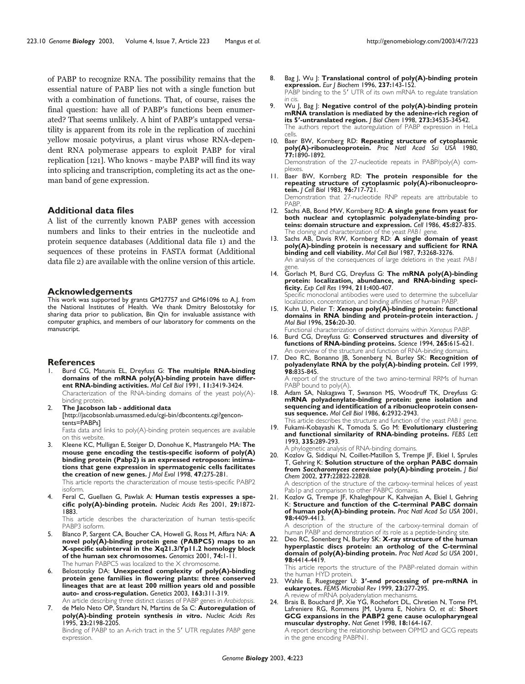of PABP to recognize RNA. The possibility remains that the essential nature of PABP lies not with a single function but with a combination of functions. That, of course, raises the final question: have all of PABP's functions been enumerated? That seems unlikely. A hint of PABP's untapped versatility is apparent from its role in the replication of zucchini yellow mosaic potyvirus, a plant virus whose RNA-dependent RNA polymerase appears to exploit PABP for viral replication [121]. Who knows - maybe PABP will find its way into splicing and transcription, completing its act as the oneman band of gene expression.

## **Additional data files**

A list of the currently known PABP genes with accession numbers and links to their entries in the nucleotide and protein sequence databases (Additional data file 1) and the sequences of these proteins in FASTA format (Additional data file 2) are available with the online version of this article.

### **Acknowledgements**

This work was supported by grants GM27757 and GM61096 to A.J. from the National Institutes of Health. We thank Dmitry Belostotsky for sharing data prior to publication, Bin Qin for invaluable assistance with computer graphics, and members of our laboratory for comments on the manuscript.

#### **References**

- 1. Burd CG, Matunis EL, Dreyfuss G: **The multiple RNA-binding domains of the mRNA poly(A)-binding protein have different RNA-binding activities.** *Mol Cell Biol* 1991, **11:**3419-3424. Characterization of the RNA-binding domains of the yeast poly(A) binding protein.
- 2. **The Jacobson lab additional data** [http://jacobsonlab.umassmed.edu/cgi-bin/dbcontents.cgi?gencontents=PABPs] Fasta data and links to poly(A)-binding protein sequences are available on this website.
- 3. Kleene KC, Mulligan E, Steiger D, Donohue K, Mastrangelo MA: **The mouse gene encoding the testis-specific isoform of poly(A) binding protein (Pabp2) is an expressed retroposon: intimations that gene expression in spermatogenic cells facilitates the creation of new genes.** *J Mol Evol* 1998, **47:**275-281.

This article reports the characterization of mouse testis-specific PABP2 isoform.

4. Feral C, Guellaen G, Pawlak A: **Human testis expresses a specific poly(A)-binding protein.** *Nucleic Acids Res* 2001, **29:**1872- 1883.

This article describes the characterization of human testis-specific PABP3 isoform.

- 5. Blanco P, Sargent CA, Boucher CA, Howell G, Ross M, Affara NA: **A novel poly(A)-binding protein gene (PABPC5) maps to an X-specific subinterval in the Xq21.3/Yp11.2 homology block of the human sex chromosomes.** *Genomics* 2001, **74:**1-11. The human PABPC5 was localized to the X chromosome.
- 6. Belostotsky DA: **Unexpected complexity of poly(A)-binding protein gene families in flowering plants: three conserved lineages that are at least 200 million years old and possible auto- and cross-regulation.** *Genetics* 2003, **163:**311-319.
- An article describing three distinct classes of PABP genes in *Arabidopsis*. 7. de Melo Neto OP, Standart N, Martins de Sa C: **Autoregulation of poly(A)-binding protein synthesis** *in vitro***.** *Nucleic Acids Res* 1995, **23:**2198-2205.

Binding of PABP to an A-rich tract in the 5' UTR regulates PABP gene expression.

- 8. Bag J, Wu J: **Translational control of poly(A)-binding protein expression.** *Eur J Biochem* 1996, **237:**143-152. PABP binding to the 5' UTR of its own mRNA to regulate translation *in cis*.
- 9. Wu J, Bag J: **Negative control of the poly(A)-binding protein mRNA translation is mediated by the adenine-rich region of its 5-untranslated region.** *J Biol Chem* 1998, **273:**34535-34542. The authors report the autoregulation of PABP expression in HeLa cells.
- 10. Baer BW, Kornberg RD: **Repeating structure of cytoplasmic poly(A)-ribonucleoprotein.** *Proc Natl Acad Sci USA* 1980, **77:**1890-1892. Demonstration of the 27-nucleotide repeats in PABP/poly(A) com-
- plexes. 11. Baer BW, Kornberg RD: **The protein responsible for the repeating structure of cytoplasmic poly(A)-ribonucleoprotein.** *J Cell Biol* 1983, **96:**717-721. Demonstration that 27-nucleotide RNP repeats are attributable to

PABP.

- 12. Sachs AB, Bond MW, Kornberg RD: **A single gene from yeast for both nuclear and cytoplasmic polyadenylate-binding proteins: domain structure and expression.** *Cell* 1986, **45:**827-835. The cloning and characterization of the yeast *PAB1* gene.
- 13. Sachs AB, Davis RW, Kornberg RD: **A single domain of yeast poly(A)-binding protein is necessary and sufficient for RNA binding and cell viability.** *Mol Cell Biol* 1987, **7:**3268-3276. An analysis of the consequences of large deletions in the yeast *PAB1* gene.
- 14. Gorlach M, Burd CG, Dreyfuss G: **The mRNA poly(A)-binding protein: localization, abundance, and RNA-binding specificity.** *Exp Cell Res* 1994, **211:**400-407. Specific monoclonal antibodies were used to determine the subcellular
- localization, concentration, and binding affinities of human PABP. 15. Kuhn U, Pieler T: *Xenopus* **poly(A)-binding protein: functional domains in RNA binding and protein-protein interaction.** *J Mol Biol* 1996, **256:**20-30.
- Functional characterization of distinct domains within *Xenopus* PABP. 16. Burd CG, Dreyfuss G: **Conserved structures and diversity of functions of RNA-binding proteins.** *Science* 1994, **265:**615-621.
- An overview of the structure and function of RNA-binding domains. 17. Deo RC, Bonanno JB, Sonenberg N, Burley SK: **Recognition of polyadenylate RNA by the poly(A)-binding protein.** *Cell* 1999, **98:**835-845.

A report of the structure of the two amino-terminal RRMs of human PABP bound to poly(A)

- 18. Adam SA, Nakagawa T, Swanson MS, Woodruff TK, Dreyfuss G: **mRNA polyadenylate-binding protein: gene isolation and sequencing and identification of a ribonucleoprotein consensus sequence.** *Mol Cell Biol* 1986, **6:**2932-2943.
- This article describes the structure and function of the yeast *PAB1* gene. 19. Fukami-Kobayashi K, Tomoda S, Go M: **Evolutionary clustering and functional similarity of RNA-binding proteins.** *FEBS Lett* 1993, **335:**289-293.

A phylogenetic analysis of RNA-binding domains.

20. Kozlov G, Siddiqui N, Coillet-Matillon S, Trempe JF, Ekiel I, Sprules T, Gehring K: **Solution structure of the orphan PABC domain from** *Saccharomyces cerevisiae* **poly(A)-binding protein.** *J Biol Chem* 2002, **277:**22822-22828. A description of the structure of the carboxy-terminal helices of yeast

Pab1p and comparison to other PABPC domains.

21. Kozlov G, Trempe JF, Khaleghpour K, Kahvejian A, Ekiel I, Gehring K: **Structure and function of the C-terminal PABC domain of human poly(A)-binding protein.** *Proc Natl Acad Sci USA* 2001, **98:**4409-4413.

A description of the structure of the carboxy-terminal domain of human PABP and demonstration of its role as a peptide-binding site.

22. Deo RC, Sonenberg N, Burley SK: **X-ray structure of the human hyperplastic discs protein: an ortholog of the C-terminal domain of poly(A)-binding protein.** *Proc Natl Acad Sci USA* 2001, **98:**4414-4419.

This article reports the structure of the PABP-related domain within the human HYD protein.

- 23. Wahle E, Ruegsegger U: **3-end processing of pre-mRNA in eukaryotes.** *FEMS Microbiol Rev* 1999, **23:**277-295. A review of mRNA polyadenylation mechanisms.
- 24. Brais B, Bouchard JP, Xie YG, Rochefort DL, Chretien N, Tome FM, Lafreniere RG, Rommens JM, Uyama E, Nohira O, *et al.*: **Short GCG expansions in the PABP2 gene cause oculopharyngeal muscular dystrophy.** *Nat Genet* 1998, **18:**164-167. A report describing the relationship between OPMD and GCG repeats in the gene encoding PABPN1.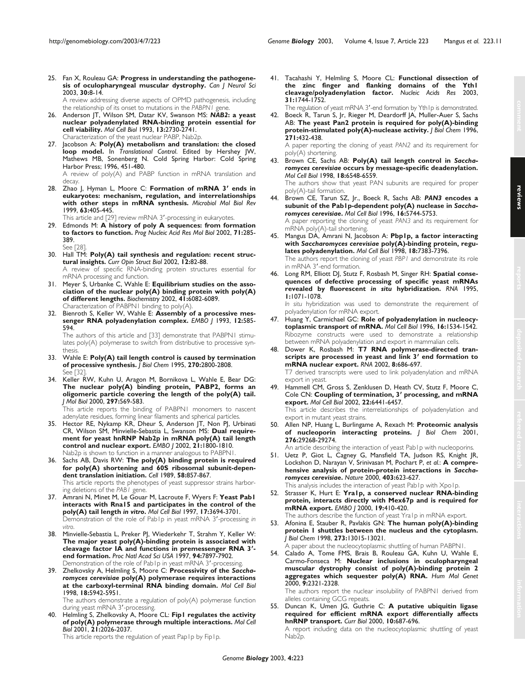25. Fan X, Rouleau GA: **Progress in understanding the pathogenesis of oculopharyngeal muscular dystrophy.** *Can J Neurol Sci* 2003, **30:**8-14.

A review addressing diverse aspects of OPMD pathogenesis, including the relationship of its onset to mutations in the *PABPN1* gene.

- 26. Anderson JT, Wilson SM, Datar KV, Swanson MS: *NAB2***: a yeast nuclear polyadenylated RNA-binding protein essential for cell viability.** *Mol Cell Biol* 1993, **13:**2730-2741. Characterization of the yeast nuclear PABP, Nab2p.
- 27. Jacobson A: **Poly(A) metabolism and translation: the closed loop model.** In *Translational Control*. Edited by Hershey JW, Mathews MB, Sonenberg N. Cold Spring Harbor: Cold Spring Harbor Press; 1996, 451-480. A review of poly(A) and PABP function in mRNA translation and
- decay 28. Zhao J, Hyman L, Moore C: **Formation of mRNA 3 ends in eukaryotes: mechanism, regulation, and interrelationships with other steps in mRNA synthesis.** *Microbiol Mol Biol Rev* 1999, **63:**405-445.

This article and [29] review mRNA 3'-processing in eukaryotes.

- 29. Edmonds M: **A history of poly A sequences: from formation to factors to function.** *Prog Nucleic Acid Res Mol Biol* 2002, **71:**285- 389. See [28].
- 30. Hall TM: **Poly(A) tail synthesis and regulation: recent structural insights.** *Curr Opin Struct Biol* 2002, **12:**82-88. A review of specific RNA-binding protein structures essential for

mRNA processing and function.

- 31. Meyer S, Urbanke C, Wahle E: **Equilibrium studies on the association of the nuclear poly(A) binding protein with poly(A) of different lengths.** *Biochemistry* 2002, **41:**6082-6089. Characterization of PABPN1 binding to poly(A).
- 32. Bienroth S, Keller W, Wahle E: **Assembly of a processive messenger RNA polyadenylation complex.** *EMBO J* 1993, **12:**585- 594.

The authors of this article and [33] demonstrate that PABPN1 stimulates poly(A) polymerase to switch from distributive to processive synthesis.

- 33. Wahle E: **Poly(A) tail length control is caused by termination of processive synthesis.** *J Biol Chem* 1995, **270:**2800-2808. See [32].
- 34. Keller RW, Kuhn U, Aragon M, Bornikova L, Wahle E, Bear DG: **The nuclear poly(A) binding protein, PABP2, forms an oligomeric particle covering the length of the poly(A) tail.** *J Mol Biol* 2000, **297:**569-583.

This article reports the binding of PABPN1 monomers to nascent adenylate residues, forming linear filaments and spherical particles.

- 35. Hector RE, Nykamp KR, Dheur S, Anderson JT, Non PJ, Urbinati CR, Wilson SM, Minvielle-Sebastia L, Swanson MS: **Dual requirement for yeast hnRNP Nab2p in mRNA poly(A) tail length control and nuclear export.** *EMBO J* 2002, **21:**1800-1810. Nab2p is shown to function in a manner analogous to PABPN1.
- 36. Sachs AB, Davis RW: **The poly(A) binding protein is required for poly(A) shortening and 60S ribosomal subunit-dependent translation initiation.** *Cell* 1989, **58:**857-867. This article reports the phenotypes of yeast suppressor strains harboring deletions of the *PAB1* gene.
- 37. Amrani N, Minet M, Le Gouar M, Lacroute F, Wyers F: **Yeast Pab1 interacts with Rna15 and participates in the control of the poly(A) tail length** *in vitro***.** *Mol Cell Biol* 1997, **17:**3694-3701. Demonstration of the role of Pab1p in yeast mRNA 3-processing *in vitro*.
- 38. Minvielle-Sebastia L, Preker PJ, Wiederkehr T, Strahm Y, Keller W: **The major yeast poly(A)-binding protein is associated with cleavage factor IA and functions in premessenger RNA 3 end formation.** *Proc Natl Acad Sci USA* 1997, **94:**7897-7902. Demonstration of the role of Pab1p in yeast mRNA 3'-processing
- 39. Zhelkovsky A, Helmling S, Moore C: **Processivity of the** *Saccharomyces cerevisiae* **poly(A) polymerase requires interactions at the carboxyl-terminal RNA binding domain.** *Mol Cell Biol* 1998, **18:**5942-5951.

The authors demonstrate a regulation of poly(A) polymerase function during yeast mRNA 3-processing.

40. Helmling S, Zhelkovsky A, Moore CL: **Fip1 regulates the activity of poly(A) polymerase through multiple interactions.** *Mol Cell Biol* 2001, **21:**2026-2037.

This article reports the regulation of yeast Pap1p by Fip1p.

- 41. Tacahashi Y, Helmling S, Moore CL: **Functional dissection of the zinc finger and flanking domains of the Yth1 cleavage/polyadenylation factor.** *Nucleic Acids Res* 2003, **31:**1744-1752.
- The regulation of yeast mRNA 3'-end formation by Yth Ip is demonstrated. 42. Boeck R, Tarun S, Jr, Rieger M, Deardorff JA, Muller-Auer S, Sachs
- AB: **The yeast Pan2 protein is required for poly(A)-binding protein-stimulated poly(A)-nuclease activity.** *J Biol Chem* 1996, **271:**432-438.

A paper reporting the cloning of yeast *PAN2* and its requirement for poly(A) shortening.

43. Brown CE, Sachs AB: **Poly(A) tail length control in** *Saccharomyces cerevisiae* **occurs by message-specific deadenylation.** *Mol Cell Biol* 1998, **18:**6548-6559. The authors show that yeast PAN subunits are required for proper

poly(A)-tail formation.

- 44. Brown CE, Tarun SZ, Jr., Boeck R, Sachs AB: *PAN3* **encodes a subunit of the Pab1p-dependent poly(A) nuclease in** *Saccharomyces cerevisiae***.** *Mol Cell Biol* 1996, **16:**5744-5753. A paper reporting the cloning of yeast *PAN3* and its requirement for mRNA poly(A)-tail shortening.
- 45. Mangus DA, Amrani N, Jacobson A: **Pbp1p, a factor interacting with** *Saccharomyces cerevisiae* **poly(A)-binding protein, regulates polyadenylation.** *Mol Cell Biol* 1998, **18:**7383-7396. The authors report the cloning of yeast *PBP1* and demonstrate its role in mRNA 3'-end formation.
- 46. Long RM, Elliott DJ, Stutz F, Rosbash M, Singer RH: **Spatial consequences of defective processing of specific yeast mRNAs revealed by fluorescent** *in situ* **hybridization.** *RNA* 1995, **1:**1071-1078.

*In situ* hybridization was used to demonstrate the requirement of polyadenylation for mRNA export.

- 47. Huang Y, Carmichael GC: **Role of polyadenylation in nucleocytoplasmic transport of mRNA.** *Mol Cell Biol* 1996, **16:**1534-1542. Ribozyme constructs were used to demonstrate a relationship between mRNA polyadenylation and export in mammalian cells.
- 48. Dower K, Rosbash M: **T7 RNA polymerase-directed transcripts are processed in yeast and link 3 end formation to mRNA nuclear export.** *RNA* 2002, **8:**686-697. T7 derived transcripts were used to link polyadenylation and mRNA export in yeast.
- 49. Hammell CM, Gross S, Zenklusen D, Heath CV, Stutz F, Moore C, Cole CN: **Coupling of termination, 3 processing, and mRNA export.** *Mol Cell Biol* 2002, **22:**6441-6457. This article describes the interrelationships of polyadenylation and export in mutant yeast strains.
- 50. Allen NP, Huang L, Burlingame A, Rexach M: **Proteomic analysis of nucleoporin interacting proteins.** *J Biol Chem* 2001, **276:**29268-29274.

An article describing the interaction of yeast Pab1p with nucleoporins. 51. Uetz P, Giot L, Cagney G, Mansfield TA, Judson RS, Knight JR, Lockshon D, Narayan V, Srinivasan M, Pochart P, *et al.*: **A comprehensive analysis of protein-protein interactions in** *Saccharomyces cerevisiae***.** *Nature* 2000, **403:**623-627. This analysis includes the interaction of yeast Pab1p with Xpo1p.

- 52. Strasser K, Hurt E: **Yra1p, a conserved nuclear RNA-binding protein, interacts directly with Mex67p and is required for mRNA export.** *EMBO J* 2000, **19:**410-420.
- The authors describe the function of yeast Yra1p in mRNA export. 53. Afonina E, Stauber R, Pavlakis GN: **The human poly(A)-binding protein 1 shuttles between the nucleus and the cytoplasm.** *J Biol Chem* 1998, **273:**13015-13021.

A paper about the nucleocytoplasmic shuttling of human PABPN1. 54. Calado A, Tome FMS, Brais B, Rouleau GA, Kuhn U, Wahle E,

Carmo-Fonseca M: **Nuclear inclusions in oculopharyngeal muscular dystrophy consist of poly(A)-binding protein 2 aggregates which sequester poly(A) RNA.** *Hum Mol Genet* 2000, **9:**2321-2328.

The authors report the nuclear insolubility of PABPN1 derived from alleles containing GCG repeats.

55. Duncan K, Umen JG, Guthrie C: **A putative ubiquitin ligase required for efficient mRNA export differentially affects hnRNP transport.** *Curr Biol* 2000, **10:**687-696. A report including data on the nucleocytoplasmic shuttling of yeast Nab2p.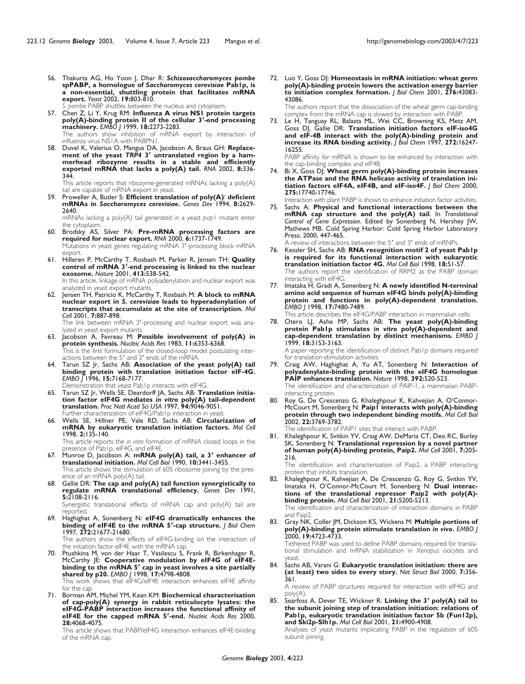56. Thakurta AG, Ho Yoon J, Dhar R: *Schizosaccharomyces pombe* **spPABP, a homologue of** *Saccharomyces cerevisiae* **Pab1p, is a non-essential, shuttling protein that facilitates mRNA export.** *Yeast* 2002, **19:**803-810.

*S. pombe* PABP shuttles between the nucleus and cytoplasm.

- 57. Chen Z, Li Y, Krug RM: **Influenza A virus NS1 protein targets poly(A)-binding protein II of the cellular 3-end processing machinery.** *EMBO J* 1999, **18:**2273-2283. The authors show inhibition of mRNA export by interaction of
- influenza virus NS1A with PABPN1. 58. Duvel K, Valerius O, Mangus DA, Jacobson A, Braus GH: **Replace-ment of the yeast** *TRP4* **3 untranslated region by a hammerhead ribozyme results in a stable and efficiently exported mRNA that lacks a poly(A) tail.** *RNA* 2002, **8:**336- 344.

This article reports that ribozyme-generated mRNAs lacking a poly(A) tail are capable of mRNA export in yeast.

59. Proweller A, Butler S: **Efficient translation of poly(A)- deficient mRNAs in** *Saccharomyces cerevisiae***.** *Genes Dev* 1994, **8:**2629- 2640.

mRNAs lacking a poly(A) tail generated in a yeast *pap1* mutant enter the cytoplasm.

- 60. Brodsky AS, Silver PA: **Pre-mRNA processing factors are required for nuclear export.** *RNA* 2000, **6:**1737-1749. Mutations in yeast genes regulating mRNA 3-processing block mRNA export.
- 61. Hilleren P, McCarthy T, Rosbash M, Parker R, Jensen TH: **Quality control of mRNA 3-end processing is linked to the nuclear exosome.** *Nature* 2001, **413:**538-542.

In this article, linkage of mRNA polyadenylation and nuclear export was analyzed in yeast export mutants.

62. Jensen TH, Patricio K, McCarthy T, Rosbash M: **A block to mRNA nuclear export in** *S. cerevisiae* **leads to hyperadenylation of transcripts that accumulate at the site of transcription.** *Mol Cell* 2001, **7:**887-898.

The link between mRNA 3'-processing and nuclear export was analyzed in yeast export mutants

- 63. Jacobson A, Favreau M: **Possible involvement of poly(A) in protein synthesis.** *Nucleic Acids Res* 1983, **11:**6353-6368. This is the first formulation of the closed-loop model postulating interactions between the 5' and 3' ends of the mRNA.
- 64. Tarun SZ Jr, Sachs AB: **Association of the yeast poly(A) tail binding protein with translation initiation factor eIF-4G.** *EMBO J* 1996, **15:**7168-7177.

Demonstration that yeast Pab1p interacts with eIF4G.

- 65. Tarun SZ Jr, Wells SE, Deardorff JA, Sachs AB: **Translation initiation factor eIF4G mediates** *in vitro* **poly(A) tail-dependent translation.** *Proc Natl Acad Sci USA* 1997, **94:**9046-9051. Further characterization of eIF4G/Pab1p interaction in yeast.
- 66. Wells SE, Hillner PE, Vale RD, Sachs AB: **Circularization of mRNA by eukaryotic translation initiation factors.** *Mol Cell* 1998, **2:**135-140.

This article reports the *in vitro* formation of mRNA closed loops in the presence of Pab1p, eIF4G, and eIF4E.

- 67. Munroe D, Jacobson A: **mRNA poly(A) tail, a 3 enhancer of translational initiation.** *Mol Cell Biol* 1990, **10:**3441-3455. This article shows the stimulation of 60S ribosome joining by the presence of an mRNA poly(A) tail.
- 68. Gallie DR: **The cap and poly(A) tail function synergistically to regulate mRNA translational efficiency.** *Genes Dev* 1991, **5:**2108-2116.

Synergistic translational effects of mRNA cap and poly(A) tail are reported.

69. Haghighat A, Sonenberg N: **eIF4G dramatically enhances the binding of eIF4E to the mRNA 5-cap structure.** *J Biol Chem* 1997, **272:**21677-21680.

The authors show the effects of eIF4G-binding on the interaction of the initiation factor eIF4E with the mRNA cap.

70. Ptushkina M, von der Haar T, Vasilescu S, Frank R, Birkenhager R, McCarthy JE: **Cooperative modulation by eIF4G of eIF4Ebinding to the mRNA 5 cap in yeast involves a site partially shared by p20.** *EMBO J* 1998, **17:**4798-4808.

This work shows that eIF4G/eIF4E interaction enhances eIF4E affinity for the cap.

71. Borman AM, Michel YM, Kean KM: **Biochemical characterisation of cap-poly(A) synergy in rabbit reticulocyte lysates: the eIF4G-PABP interaction increases the functional affinity of eIF4E for the capped mRNA 5-end.** *Nucleic Acids Res* 2000, **28:**4068-4075.

This article shows that PABP/eIF4G interaction enhances eIF4E-binding of the mRNA cap.

72. Luo Y, Goss DJ: **Homeostasis in mRNA initiation: wheat germ poly(A)-binding protein lowers the activation energy barrier to initiation complex formation.** *J Biol Chem* 2001, **276:**43083- 43086.

The authors report that the dissociation of the wheat germ cap-binding complex from the mRNA cap is slowed by interaction with PABP.

73. Le H, Tanguay RL, Balasta ML, Wei CC, Browning KS, Metz AM, Goss DJ, Gallie DR: **Translation initiation factors eIF-iso4G and eIF-4B interact with the poly(A)-binding protein and increase its RNA binding activity.** *J Biol Chem* 1997, **272:**16247- 16255.

PABP affinity for mRNA is shown to be enhanced by interaction with the cap-binding complex and eIF4B.

74. Bi X, Goss DJ: **Wheat germ poly(A)-binding protein increases the ATPase and the RNA helicase activity of translation initiation factors eIF4A, eIF4B, and eIF-iso4F.** *J Biol Chem* 2000, **275:**17740-17746.

Interaction with plant PABP is shown to enhance initiation factor activities.

75. Sachs A: **Physical and functional interactions between the mRNA cap structure and the poly(A) tail**. In *Translational Control of Gene Expression*. Edited by Sonenberg N, Hershey JW, Mathews MB. Cold Spring Harbor: Cold Spring Harbor Laboratory Press; 2000, 447-465.

A review of interactions between the 5' and 3' ends of mRNPs.

76. Kessler SH, Sachs AB: **RNA recognition motif 2 of yeast Pab1p is required for its functional interaction with eukaryotic translation initiation factor 4G.** *Mol Cell Biol* 1998, **18:**51-57. The authors report the identification of RRM2 as the PABP domain

interacting with eIF4G.

- 77. Imataka H, Gradi A, Sonenberg N: **A newly identified N-terminal amino acid sequence of human eIF4G binds poly(A)-binding protein and functions in poly(A)-dependent translation.** *EMBO J* 1998, **17:**7480-7489.
- This article describes the eIF4G/PABP interaction in mammalian cells. 78. Otero LJ, Ashe MP, Sachs AB: **The yeast poly(A)-binding**
- **protein Pab1p stimulates** *in vitro* **poly(A)-dependent and cap-dependent translation by distinct mechanisms.** *EMBO J* 1999, **18:**3153-3163.

A paper reporting the identification of distinct Pab1p domains required for translation-stimulation activities.

- 79. Craig AW, Haghighat A, Yu AT, Sonenberg N: **Interaction of polyadenylate-binding protein with the eIF4G homologue PAIP enhances translation.** *Nature* 1998, **392:**520-523. The identification and characterization of PAIP-1, a mammalian PABPinteracting protein.
- 80. Roy G, De Crescenzo G, Khaleghpour K, Kahvejian A, O'Connor-McCourt M, Sonenberg N: **Paip1 interacts with poly(A)-binding protein through two independent binding motifs.** *Mol Cell Biol* 2002, **22:**3769-3782.

The identification of PAIP1 sites that interact with PABP.

81. Khaleghpour K, Svitkin YV, Craig AW, DeMaria CT, Deo RC, Burley SK, Sonenberg N: **Translational repression by a novel partner of human poly(A)-binding protein, Paip2.** *Mol Cell* 2001, **7:**205- 216.

The identification and characterization of Paip2, a PABP interacting protein that inhibits translation.

82. Khaleghpour K, Kahvejian A, De Crescenzo G, Roy G, Svitkin YV, Imataka H, O'Connor-McCourt M, Sonenberg N: **Dual interactions of the translational repressor Paip2 with poly(A) binding protein.** *Mol Cell Biol* 2001, **21:**5200-5213.

The identification and characterization of interaction domains in PABP and Paip2.

83. Gray NK, Coller JM, Dickson KS, Wickens M: **Multiple portions of poly(A)-binding protein stimulate translation** *in vivo***.** *EMBO J* 2000, **19:**4723-4733.

Tethered PABP was used to define PABP domains required for translational stimulation and mRNA stabilization in *Xenopus* oocytes and yeast.

84. Sachs AB, Varani G: **Eukaryotic translation initiation: there are (at least) two sides to every story.** *Nat Struct Biol* 2000, **7:**356- 361.

A review of PABP structures required for interaction with eIF4G and poly(A).

85. Searfoss A, Dever TE, Wickner R: **Linking the 3 poly(A) tail to the subunit joining step of translation initiation: relations of Pab1p, eukaryotic translation initiation factor 5b (Fun12p), and Ski2p-Slh1p.** *Mol Cell Biol* 2001, **21:**4900-4908. Analyses of yeast mutants implicating PABP in the regulation of 60S

subunit joining.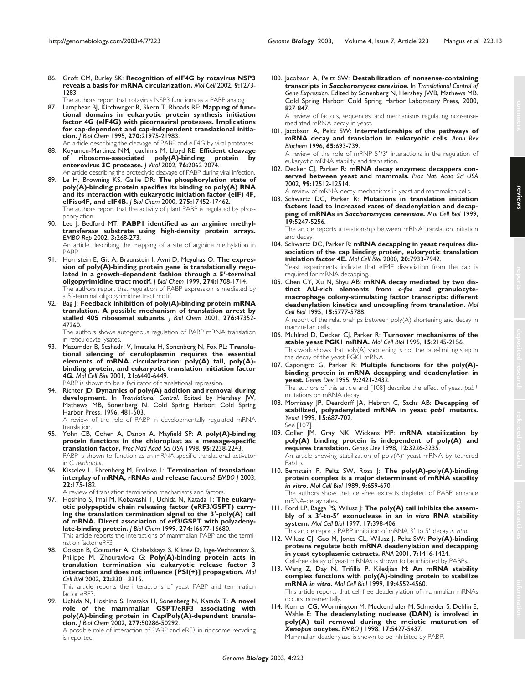86. Groft CM, Burley SK: **Recognition of eIF4G by rotavirus NSP3 reveals a basis for mRNA circularization.** *Mol Cell* 2002, **9:**1273- 1283.

The authors report that rotavirus NSP3 functions as a PABP analog

- 87. Lamphear BJ, Kirchweger R, Skern T, Rhoads RE: **Mapping of functional domains in eukaryotic protein synthesis initiation factor 4G (eIF4G) with picornaviral proteases. Implications for cap-dependent and cap-independent translational initiation.** *J Biol Chem* 1995, **270:**21975-21983.
- An article describing the cleavage of PABP and eIF4G by viral proteases. 88. Kuyumcu-Martinez NM, Joachims M, Lloyd RE: **Efficient cleavage of ribosome-associated poly(A)-binding protein by enterovirus 3C protease.** *J Virol* 2002, **76:**2062-2074.
- An article describing the proteolytic cleavage of PABP during viral infection. 89. Le H, Browning KS, Gallie DR: **The phosphorylation state of poly(A)-binding protein specifies its binding to poly(A) RNA and its interaction with eukaryotic initiation factor (eIF) 4F, eIFiso4F, and eIF4B.** *J Biol Chem* 2000, **275:**17452-17462. The authors report that the activity of plant PABP is regulated by phos-

phorylation.

90. Lee J, Bedford MT: **PABP1 identified as an arginine methyltransferase substrate using high-density protein arrays.** *EMBO Rep* 2002, **3:**268-273. An article describing the mapping of a site of arginine methylation in

PABP.

- 91. Hornstein E, Git A, Braunstein I, Avni D, Meyuhas O: **The expression of poly(A)-binding protein gene is translationally regulated in a growth-dependent fashion through a 5-terminal oligopyrimidine tract motif.** *J Biol Chem* 1999, **274:**1708-1714. The authors report that regulation of PABP expression is mediated by a 5'-terminal oligopyrimidine tract motif.
- 92. Bag J: **Feedback inhibition of poly(A)-binding protein mRNA translation. A possible mechanism of translation arrest by stalled 40S ribosomal subunits.** *J Biol Chem* 2001, **276:**47352- 47360.

The authors shows autogenous regulation of PABP mRNA translation in reticulocyte lysates.

93. Mazumder B, Seshadri V, Imataka H, Sonenberg N, Fox PL: Transla**tional silencing of ceruloplasmin requires the essential elements of mRNA circularization: poly(A) tail, poly(A) binding protein, and eukaryotic translation initiation factor 4G.** *Mol Cell Biol* 2001, **21:**6440-6449.

PABP is shown to be a facilitator of translational repression.

94. Richter JD: **Dynamics of poly(A) addition and removal during development.** In *Translational Control*. Edited by Hershey JW, Mathews MB, Sonenberg N. Cold Spring Harbor: Cold Spring Harbor Press, 1996, 481-503.

A review of the role of PABP in developmentally regulated mRNA translation.

- 95. Yohn CB, Cohen A, Danon A, Mayfield SP: **A poly(A)-binding protein functions in the chloroplast as a message-specific translation factor.** *Proc Natl Acad Sci USA* 1998, **95:**2238-2243. PABP is shown to function as an mRNA-specific translational activator in *C. reinhardtii*.
- 96. Kisselev L, Ehrenberg M, Frolova L: **Termination of translation: interplay of mRNA, rRNAs and release factors?** *EMBO J* 2003, **22:**175-182.

A review of translation termination mechanisms and factors.

- 97. Hoshino S, Imai M, Kobayashi T, Uchida N, Katada T: **The eukaryotic polypeptide chain releasing factor (eRF3/GSPT) carrying the translation termination signal to the 3-poly(A) tail of mRNA. Direct association of erf3/GSPT with polyadenylate-binding protein.** *J Biol Chem* 1999, **274:**16677-16680. This article reports the interactions of mammalian PABP and the termination factor eRF3.
- 98. Cosson B, Couturier A, Chabelskaya S, Kiktev D, Inge-Vechtomov S, Philippe M, Zhouravleva G: **Poly(A)-binding protein acts in translation termination via eukaryotic release factor 3 interaction and does not influence [PSI(+)] propagation.** *Mol Cell Biol* 2002, **22:**3301-3315.

This article reports the interactions of yeast PABP and termination factor eRF3.

99. Uchida N, Hoshino S, Imataka H, Sonenberg N, Katada T: **A novel role of the mammalian GSPT/eRF3 associating with poly(A)-binding protein in Cap/Poly(A)-dependent translation.** *J Biol Chem* 2002, **277:**50286-50292.

A possible role of interaction of PABP and eRF3 in ribosome recycling is reported.

100. Jacobson A, Peltz SW: **Destabilization of nonsense-containing transcripts in** *Saccharomyces cerevisiae.* In *Translational Control of Gene Expression*. Edited by Sonenberg N, Hershey JWB, Mathews MB. Cold Spring Harbor: Cold Spring Harbor Laboratory Press, 2000, 827-847.

A review of factors, sequences, and mechanisms regulating nonsensemediated mRNA decay in yeast.

101. Jacobson A, Peltz SW: **Interrelationships of the pathways of mRNA decay and translation in eukaryotic cells.** *Annu Rev Biochem* 1996, **65:**693-739.

A review of the role of mRNP 5'/3' interactions in the regulation of eukaryotic mRNA stability and translation.

- 102. Decker CJ, Parker R: **mRNA decay enzymes: decappers conserved between yeast and mammals.** *Proc Natl Acad Sci USA* 2002, **99:**12512-12514.
- A review of mRNA-decay mechanisms in yeast and mammalian cells. 103. Schwartz DC, Parker R: **Mutations in translation initiation factors lead to increased rates of deadenylation and decapping of mRNAs in** *Saccharomyces cerevisiae***.** *Mol Cell Biol* 1999, **19:**5247-5256.

The article reports a relationship between mRNA translation initiation and decay.

- 104. Schwartz DC, Parker R: **mRNA decapping in yeast requires dissociation of the cap binding protein, eukaryotic translation initiation factor 4E.** *Mol Cell Biol* 2000, **20:**7933-7942. Yeast experiments indicate that eIF4E dissociation from the cap is
- required for mRNA decapping. 105. Chen CY, Xu N, Shyu AB: **mRNA decay mediated by two distinct AU-rich elements from** *c-fos* **and granulocytemacrophage colony-stimulating factor transcripts: different deadenylation kinetics and uncoupling from translation.** *Mol Cell Biol* 1995, **15:**5777-5788.

A report of the relationships between poly(A) shortening and decay in mammalian cells.

- 106. Muhlrad D, Decker CJ, Parker R: **Turnover mechanisms of the stable yeast PGK1 mRNA.** *Mol Cell Biol* 1995, **15:**2145-2156. This work shows that poly(A) shortening is not the rate-limiting step in the decay of the yeast PGK1 mRNA.
- 107. Caponigro G, Parker R: **Multiple functions for the poly(A) binding protein in mRNA decapping and deadenylation in yeast.** *Genes Dev* 1995, **9:**2421-2432. The authors of this article and [108] describe the effect of yeast *pab1*
- mutations on mRNA decay. 108. Morrissey JP, Deardorff JA, Hebron C, Sachs AB: **Decapping of stabilized, polyadenylated mRNA in yeast** *pab1* **mutants.** *Yeast* 1999, **15:**687-702.
- See [107]. 109. Coller JM, Gray NK, Wickens MP: **mRNA stabilization by poly(A) binding protein is independent of poly(A) and requires translation.** *Genes Dev* 1998, **12:**3226-3235. An article showing stabilization of poly(A)- yeast mRNA by tethered Pab1p.
- 110. Bernstein P, Peltz SW, Ross J: **The poly(A)-poly(A)-binding protein complex is a major determinant of mRNA stability** *in vitro***.** *Mol Cell Biol* 1989, **9:**659-670. The authors show that cell-free extracts depleted of PABP enhance mRNA-decay rates
- 111. Ford LP, Bagga PS, Wilusz J: **The poly(A) tail inhibits the assembly of a 3-to-5 exonuclease in an** *in vitro* **RNA stability system.** *Mol Cell Biol* 1997, **17:**398-406. This article reports PABP inhibition of mRNA 3' to 5' decay in vitro.
- 112. Wilusz CJ, Gao M, Jones CL, Wilusz J, Peltz SW: **Poly(A)-binding proteins regulate both mRNA deadenylation and decapping in yeast cytoplasmic extracts.** *RNA* 2001, **7:**1416-1424. Cell-free decay of yeast mRNAs is shown to be inhibited by PABPs.
- 113. Wang Z, Day N, Trifillis P, Kiledjian M: **An mRNA stability complex functions with poly(A)-binding protein to stabilize mRNA** *in vitro***.** *Mol Cell Biol* 1999, **19:**4552-4560. This article reports that cell-free deadenylation of mammalian mRNAs occurs incrementally.
- 114. Korner CG, Wormington M, Muckenthaler M, Schneider S, Dehlin E, Wahle E: **The deadenylating nuclease (DAN) is involved in poly(A) tail removal during the meiotic maturation of** *Xenopus* **oocytes.** *EMBO J* 1998, **17:**5427-5437.

Mammalian deadenylase is shown to be inhibited by PABP.